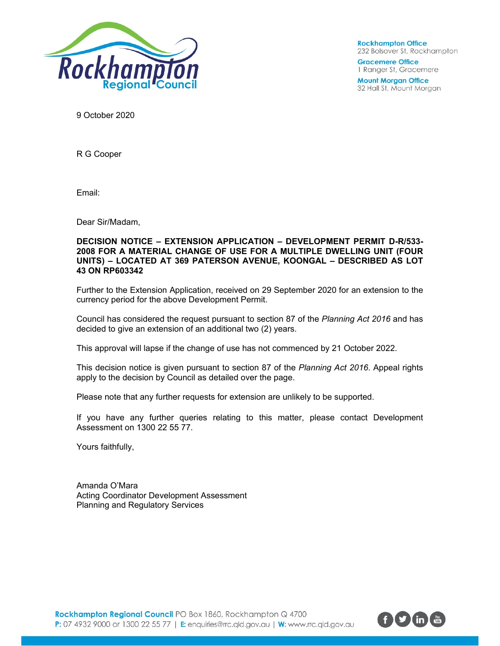

**Rockhampton Office** 232 Bolsover St, Rockhampton

**Gracemere Office** 1 Ranger St, Gracemere

**Mount Morgan Office** 32 Hall St, Mount Morgan

9 October 2020

R G Cooper

Email:

Dear Sir/Madam,

### **DECISION NOTICE – EXTENSION APPLICATION – DEVELOPMENT PERMIT D-R/533- 2008 FOR A MATERIAL CHANGE OF USE FOR A MULTIPLE DWELLING UNIT (FOUR UNITS) – LOCATED AT 369 PATERSON AVENUE, KOONGAL – DESCRIBED AS LOT 43 ON RP603342**

Further to the Extension Application, received on 29 September 2020 for an extension to the currency period for the above Development Permit.

Council has considered the request pursuant to section 87 of the *Planning Act 2016* and has decided to give an extension of an additional two (2) years.

This approval will lapse if the change of use has not commenced by 21 October 2022.

This decision notice is given pursuant to section 87 of the *Planning Act 2016*. Appeal rights apply to the decision by Council as detailed over the page.

Please note that any further requests for extension are unlikely to be supported.

If you have any further queries relating to this matter, please contact Development Assessment on 1300 22 55 77.

Yours faithfully,

Amanda O'Mara Acting Coordinator Development Assessment Planning and Regulatory Services